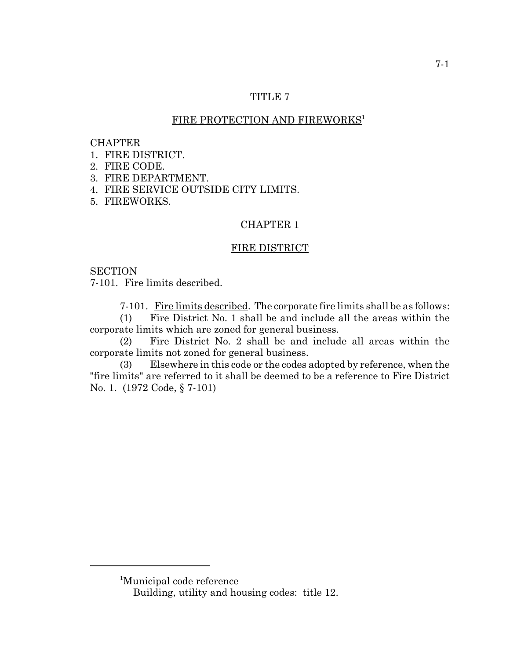## TITLE 7

# FIRE PROTECTION AND FIREWORKS<sup>1</sup>

#### CHAPTER

- 1. FIRE DISTRICT.
- 2. FIRE CODE.
- 3. FIRE DEPARTMENT.
- 4. FIRE SERVICE OUTSIDE CITY LIMITS.
- 5. FIREWORKS.

### CHAPTER 1

#### FIRE DISTRICT

### **SECTION**

7-101. Fire limits described.

7-101. Fire limits described. The corporate fire limits shall be as follows:

(1) Fire District No. 1 shall be and include all the areas within the corporate limits which are zoned for general business.

(2) Fire District No. 2 shall be and include all areas within the corporate limits not zoned for general business.

(3) Elsewhere in this code or the codes adopted by reference, when the "fire limits" are referred to it shall be deemed to be a reference to Fire District No. 1. (1972 Code, § 7-101)

<sup>1</sup> Municipal code reference

Building, utility and housing codes: title 12.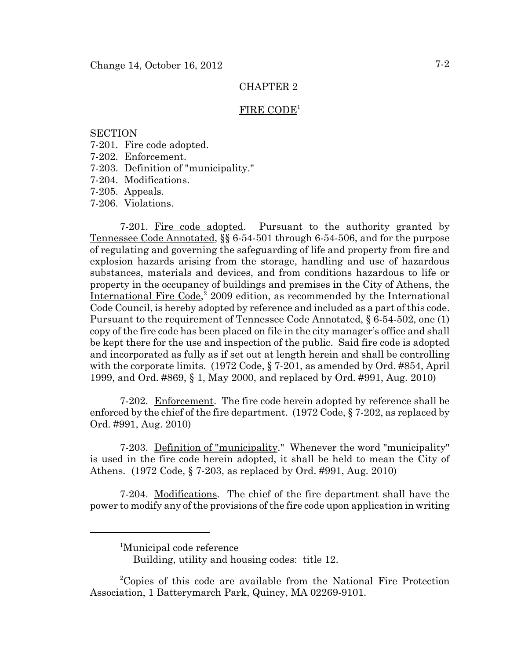#### FIRE CODE<sup>1</sup>

### **SECTION**

- 7-201. Fire code adopted.
- 7-202. Enforcement.
- 7-203. Definition of "municipality."
- 7-204. Modifications.
- 7-205. Appeals.
- 7-206. Violations.

7-201. Fire code adopted. Pursuant to the authority granted by Tennessee Code Annotated, §§ 6-54-501 through 6-54-506, and for the purpose of regulating and governing the safeguarding of life and property from fire and explosion hazards arising from the storage, handling and use of hazardous substances, materials and devices, and from conditions hazardous to life or property in the occupancy of buildings and premises in the City of Athens, the International Fire Code,<sup>2</sup> 2009 edition, as recommended by the International Code Council, is hereby adopted by reference and included as a part of this code. Pursuant to the requirement of Tennessee Code Annotated, § 6-54-502, one (1) copy of the fire code has been placed on file in the city manager's office and shall be kept there for the use and inspection of the public. Said fire code is adopted and incorporated as fully as if set out at length herein and shall be controlling with the corporate limits. (1972 Code, § 7-201, as amended by Ord. #854, April 1999, and Ord. #869, § 1, May 2000, and replaced by Ord. #991, Aug. 2010)

7-202. Enforcement. The fire code herein adopted by reference shall be enforced by the chief of the fire department. (1972 Code, § 7-202, as replaced by Ord. #991, Aug. 2010)

7-203. Definition of "municipality." Whenever the word "municipality" is used in the fire code herein adopted, it shall be held to mean the City of Athens. (1972 Code, § 7-203, as replaced by Ord. #991, Aug. 2010)

7-204. Modifications. The chief of the fire department shall have the power to modify any of the provisions of the fire code upon application in writing

<sup>&</sup>lt;sup>1</sup>Municipal code reference

Building, utility and housing codes: title 12.

<sup>2</sup> Copies of this code are available from the National Fire Protection Association, 1 Batterymarch Park, Quincy, MA 02269-9101.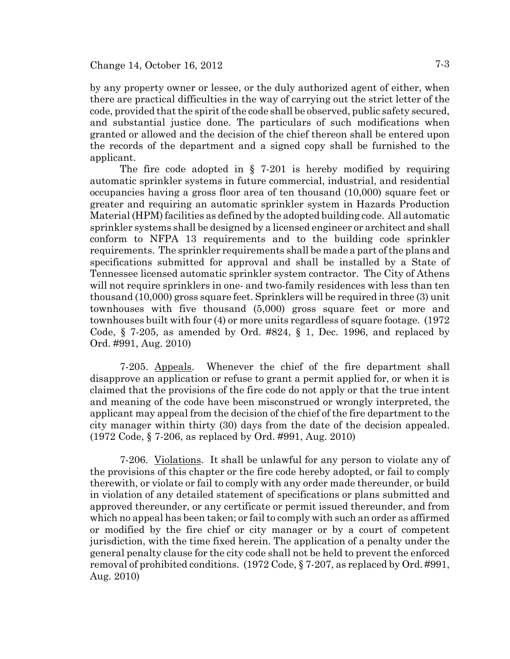by any property owner or lessee, or the duly authorized agent of either, when there are practical difficulties in the way of carrying out the strict letter of the code, provided that the spirit of the code shall be observed, public safety secured, and substantial justice done. The particulars of such modifications when granted or allowed and the decision of the chief thereon shall be entered upon the records of the department and a signed copy shall be furnished to the applicant.

The fire code adopted in  $\S$  7-201 is hereby modified by requiring automatic sprinkler systems in future commercial, industrial, and residential occupancies having a gross floor area of ten thousand (10,000) square feet or greater and requiring an automatic sprinkler system in Hazards Production Material (HPM) facilities as defined by the adopted building code. All automatic sprinkler systems shall be designed by a licensed engineer or architect and shall conform to NFPA 13 requirements and to the building code sprinkler requirements. The sprinkler requirements shall be made a part of the plans and specifications submitted for approval and shall be installed by a State of Tennessee licensed automatic sprinkler system contractor. The City of Athens will not require sprinklers in one- and two-family residences with less than ten thousand (10,000) gross square feet. Sprinklers will be required in three (3) unit townhouses with five thousand (5,000) gross square feet or more and townhouses built with four (4) or more units regardless of square footage. (1972 Code,  $\S$  7-205, as amended by Ord. #824,  $\S$  1, Dec. 1996, and replaced by Ord. #991, Aug. 2010)

7-205. Appeals. Whenever the chief of the fire department shall disapprove an application or refuse to grant a permit applied for, or when it is claimed that the provisions of the fire code do not apply or that the true intent and meaning of the code have been misconstrued or wrongly interpreted, the applicant may appeal from the decision of the chief of the fire department to the city manager within thirty (30) days from the date of the decision appealed. (1972 Code, § 7-206, as replaced by Ord. #991, Aug. 2010)

7-206. Violations. It shall be unlawful for any person to violate any of the provisions of this chapter or the fire code hereby adopted, or fail to comply therewith, or violate or fail to comply with any order made thereunder, or build in violation of any detailed statement of specifications or plans submitted and approved thereunder, or any certificate or permit issued thereunder, and from which no appeal has been taken; or fail to comply with such an order as affirmed or modified by the fire chief or city manager or by a court of competent jurisdiction, with the time fixed herein. The application of a penalty under the general penalty clause for the city code shall not be held to prevent the enforced removal of prohibited conditions. (1972 Code, § 7-207, as replaced by Ord. #991, Aug. 2010)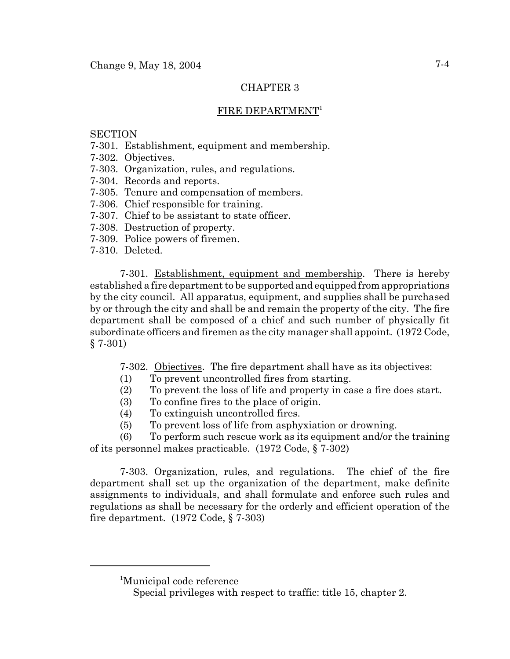# FIRE DEPARTMENT<sup>1</sup>

## **SECTION**

- 7-301. Establishment, equipment and membership.
- 7-302. Objectives.
- 7-303. Organization, rules, and regulations.
- 7-304. Records and reports.
- 7-305. Tenure and compensation of members.
- 7-306. Chief responsible for training.
- 7-307. Chief to be assistant to state officer.
- 7-308. Destruction of property.
- 7-309. Police powers of firemen.
- 7-310. Deleted.

7-301. Establishment, equipment and membership. There is hereby established a fire department to be supported and equipped from appropriations by the city council. All apparatus, equipment, and supplies shall be purchased by or through the city and shall be and remain the property of the city. The fire department shall be composed of a chief and such number of physically fit subordinate officers and firemen as the city manager shall appoint. (1972 Code, § 7-301)

7-302. Objectives. The fire department shall have as its objectives:

- (1) To prevent uncontrolled fires from starting.
- (2) To prevent the loss of life and property in case a fire does start.
- (3) To confine fires to the place of origin.
- (4) To extinguish uncontrolled fires.
- (5) To prevent loss of life from asphyxiation or drowning.

(6) To perform such rescue work as its equipment and/or the training of its personnel makes practicable. (1972 Code, § 7-302)

7-303. Organization, rules, and regulations. The chief of the fire department shall set up the organization of the department, make definite assignments to individuals, and shall formulate and enforce such rules and regulations as shall be necessary for the orderly and efficient operation of the fire department. (1972 Code, § 7-303)

<sup>1</sup> Municipal code reference

Special privileges with respect to traffic: title 15, chapter 2.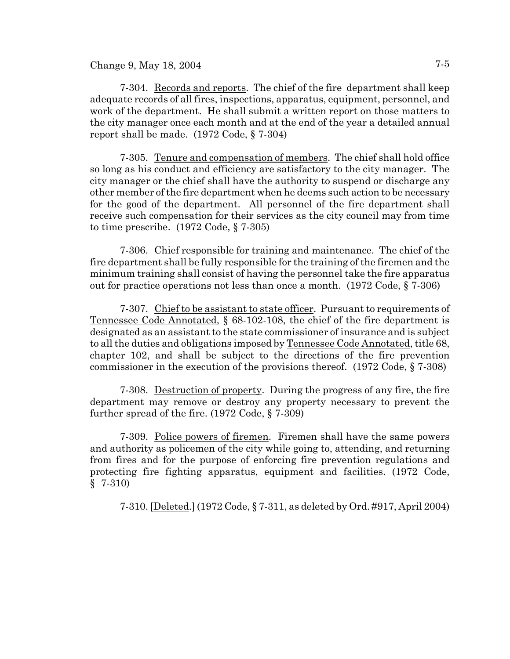Change 9, May 18, 2004  $7-5$ 

7-304. Records and reports. The chief of the fire department shall keep adequate records of all fires, inspections, apparatus, equipment, personnel, and work of the department. He shall submit a written report on those matters to the city manager once each month and at the end of the year a detailed annual report shall be made. (1972 Code, § 7-304)

7-305. Tenure and compensation of members. The chief shall hold office so long as his conduct and efficiency are satisfactory to the city manager. The city manager or the chief shall have the authority to suspend or discharge any other member of the fire department when he deems such action to be necessary for the good of the department. All personnel of the fire department shall receive such compensation for their services as the city council may from time to time prescribe. (1972 Code, § 7-305)

7-306. Chief responsible for training and maintenance. The chief of the fire department shall be fully responsible for the training of the firemen and the minimum training shall consist of having the personnel take the fire apparatus out for practice operations not less than once a month. (1972 Code, § 7-306)

7-307. Chief to be assistant to state officer. Pursuant to requirements of Tennessee Code Annotated, § 68-102-108, the chief of the fire department is designated as an assistant to the state commissioner of insurance and is subject to all the duties and obligations imposed by Tennessee Code Annotated, title 68, chapter 102, and shall be subject to the directions of the fire prevention commissioner in the execution of the provisions thereof. (1972 Code, § 7-308)

7-308. Destruction of property. During the progress of any fire, the fire department may remove or destroy any property necessary to prevent the further spread of the fire. (1972 Code, § 7-309)

7-309. Police powers of firemen. Firemen shall have the same powers and authority as policemen of the city while going to, attending, and returning from fires and for the purpose of enforcing fire prevention regulations and protecting fire fighting apparatus, equipment and facilities. (1972 Code, § 7-310)

7-310. [Deleted.] (1972 Code, § 7-311, as deleted by Ord. #917, April 2004)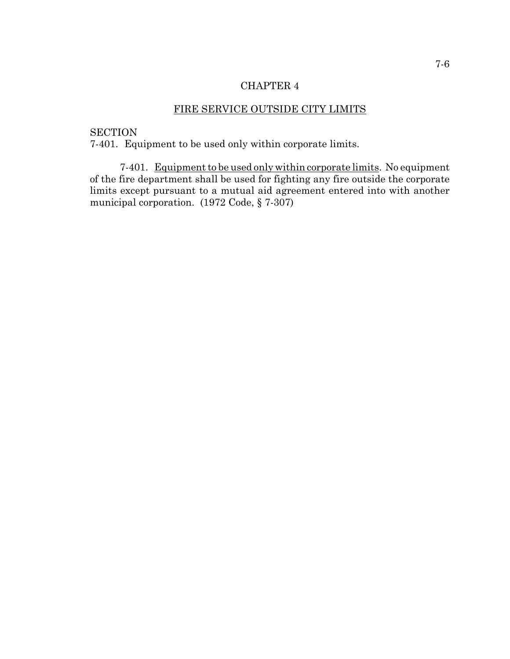# FIRE SERVICE OUTSIDE CITY LIMITS

## **SECTION**

7-401. Equipment to be used only within corporate limits.

7-401. Equipment to be used only within corporate limits. No equipment of the fire department shall be used for fighting any fire outside the corporate limits except pursuant to a mutual aid agreement entered into with another municipal corporation. (1972 Code, § 7-307)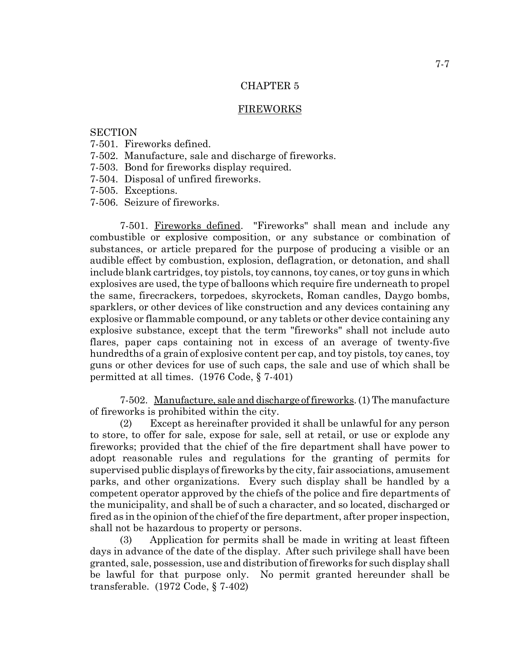#### FIREWORKS

### **SECTION**

- 7-501. Fireworks defined.
- 7-502. Manufacture, sale and discharge of fireworks.
- 7-503. Bond for fireworks display required.
- 7-504. Disposal of unfired fireworks.
- 7-505. Exceptions.
- 7-506. Seizure of fireworks.

7-501. Fireworks defined. "Fireworks" shall mean and include any combustible or explosive composition, or any substance or combination of substances, or article prepared for the purpose of producing a visible or an audible effect by combustion, explosion, deflagration, or detonation, and shall include blank cartridges, toy pistols, toy cannons, toy canes, or toy guns in which explosives are used, the type of balloons which require fire underneath to propel the same, firecrackers, torpedoes, skyrockets, Roman candles, Daygo bombs, sparklers, or other devices of like construction and any devices containing any explosive or flammable compound, or any tablets or other device containing any explosive substance, except that the term "fireworks" shall not include auto flares, paper caps containing not in excess of an average of twenty-five hundredths of a grain of explosive content per cap, and toy pistols, toy canes, toy guns or other devices for use of such caps, the sale and use of which shall be permitted at all times. (1976 Code, § 7-401)

7-502. Manufacture, sale and discharge of fireworks. (1) The manufacture of fireworks is prohibited within the city.

(2) Except as hereinafter provided it shall be unlawful for any person to store, to offer for sale, expose for sale, sell at retail, or use or explode any fireworks; provided that the chief of the fire department shall have power to adopt reasonable rules and regulations for the granting of permits for supervised public displays of fireworks by the city, fair associations, amusement parks, and other organizations. Every such display shall be handled by a competent operator approved by the chiefs of the police and fire departments of the municipality, and shall be of such a character, and so located, discharged or fired as in the opinion of the chief of the fire department, after proper inspection, shall not be hazardous to property or persons.

(3) Application for permits shall be made in writing at least fifteen days in advance of the date of the display. After such privilege shall have been granted, sale, possession, use and distribution of fireworks for such display shall be lawful for that purpose only. No permit granted hereunder shall be transferable. (1972 Code, § 7-402)